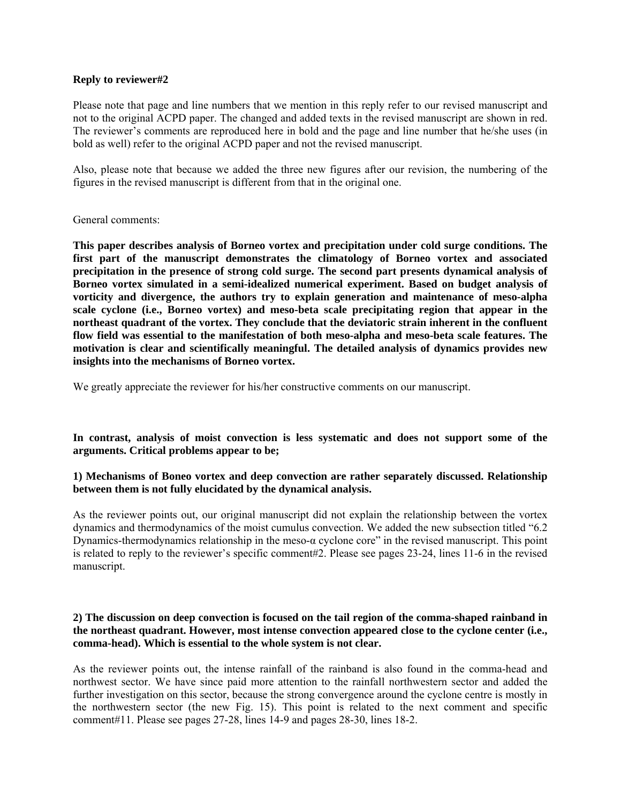#### **Reply to reviewer#2**

Please note that page and line numbers that we mention in this reply refer to our revised manuscript and not to the original ACPD paper. The changed and added texts in the revised manuscript are shown in red. The reviewer's comments are reproduced here in bold and the page and line number that he/she uses (in bold as well) refer to the original ACPD paper and not the revised manuscript.

Also, please note that because we added the three new figures after our revision, the numbering of the figures in the revised manuscript is different from that in the original one.

#### General comments:

**This paper describes analysis of Borneo vortex and precipitation under cold surge conditions. The first part of the manuscript demonstrates the climatology of Borneo vortex and associated precipitation in the presence of strong cold surge. The second part presents dynamical analysis of Borneo vortex simulated in a semi-idealized numerical experiment. Based on budget analysis of vorticity and divergence, the authors try to explain generation and maintenance of meso-alpha scale cyclone (i.e., Borneo vortex) and meso-beta scale precipitating region that appear in the northeast quadrant of the vortex. They conclude that the deviatoric strain inherent in the confluent flow field was essential to the manifestation of both meso-alpha and meso-beta scale features. The motivation is clear and scientifically meaningful. The detailed analysis of dynamics provides new insights into the mechanisms of Borneo vortex.** 

We greatly appreciate the reviewer for his/her constructive comments on our manuscript.

**In contrast, analysis of moist convection is less systematic and does not support some of the arguments. Critical problems appear to be;** 

## **1) Mechanisms of Boneo vortex and deep convection are rather separately discussed. Relationship between them is not fully elucidated by the dynamical analysis.**

As the reviewer points out, our original manuscript did not explain the relationship between the vortex dynamics and thermodynamics of the moist cumulus convection. We added the new subsection titled "6.2 Dynamics-thermodynamics relationship in the meso-α cyclone core" in the revised manuscript. This point is related to reply to the reviewer's specific comment#2. Please see pages 23-24, lines 11-6 in the revised manuscript.

#### **2) The discussion on deep convection is focused on the tail region of the comma-shaped rainband in the northeast quadrant. However, most intense convection appeared close to the cyclone center (i.e., comma-head). Which is essential to the whole system is not clear.**

As the reviewer points out, the intense rainfall of the rainband is also found in the comma-head and northwest sector. We have since paid more attention to the rainfall northwestern sector and added the further investigation on this sector, because the strong convergence around the cyclone centre is mostly in the northwestern sector (the new Fig. 15). This point is related to the next comment and specific comment#11. Please see pages 27-28, lines 14-9 and pages 28-30, lines 18-2.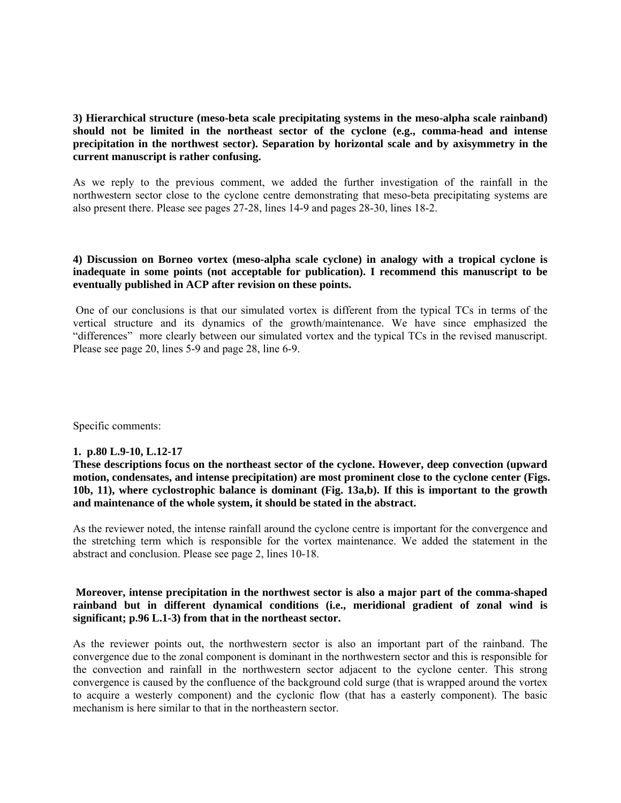## **3) Hierarchical structure (meso-beta scale precipitating systems in the meso-alpha scale rainband) should not be limited in the northeast sector of the cyclone (e.g., comma-head and intense precipitation in the northwest sector). Separation by horizontal scale and by axisymmetry in the current manuscript is rather confusing.**

As we reply to the previous comment, we added the further investigation of the rainfall in the northwestern sector close to the cyclone centre demonstrating that meso-beta precipitating systems are also present there. Please see pages 27-28, lines 14-9 and pages 28-30, lines 18-2.

#### **4) Discussion on Borneo vortex (meso-alpha scale cyclone) in analogy with a tropical cyclone is inadequate in some points (not acceptable for publication). I recommend this manuscript to be eventually published in ACP after revision on these points.**

 One of our conclusions is that our simulated vortex is different from the typical TCs in terms of the vertical structure and its dynamics of the growth/maintenance. We have since emphasized the "differences" more clearly between our simulated vortex and the typical TCs in the revised manuscript. Please see page 20, lines 5-9 and page 28, line 6-9.

Specific comments:

## **1. p.80 L.9-10, L.12-17**

**These descriptions focus on the northeast sector of the cyclone. However, deep convection (upward motion, condensates, and intense precipitation) are most prominent close to the cyclone center (Figs. 10b, 11), where cyclostrophic balance is dominant (Fig. 13a,b). If this is important to the growth and maintenance of the whole system, it should be stated in the abstract.** 

As the reviewer noted, the intense rainfall around the cyclone centre is important for the convergence and the stretching term which is responsible for the vortex maintenance. We added the statement in the abstract and conclusion. Please see page 2, lines 10-18.

## **Moreover, intense precipitation in the northwest sector is also a major part of the comma-shaped rainband but in different dynamical conditions (i.e., meridional gradient of zonal wind is significant; p.96 L.1-3) from that in the northeast sector.**

As the reviewer points out, the northwestern sector is also an important part of the rainband. The convergence due to the zonal component is dominant in the northwestern sector and this is responsible for the convection and rainfall in the northwestern sector adjacent to the cyclone center. This strong convergence is caused by the confluence of the background cold surge (that is wrapped around the vortex to acquire a westerly component) and the cyclonic flow (that has a easterly component). The basic mechanism is here similar to that in the northeastern sector.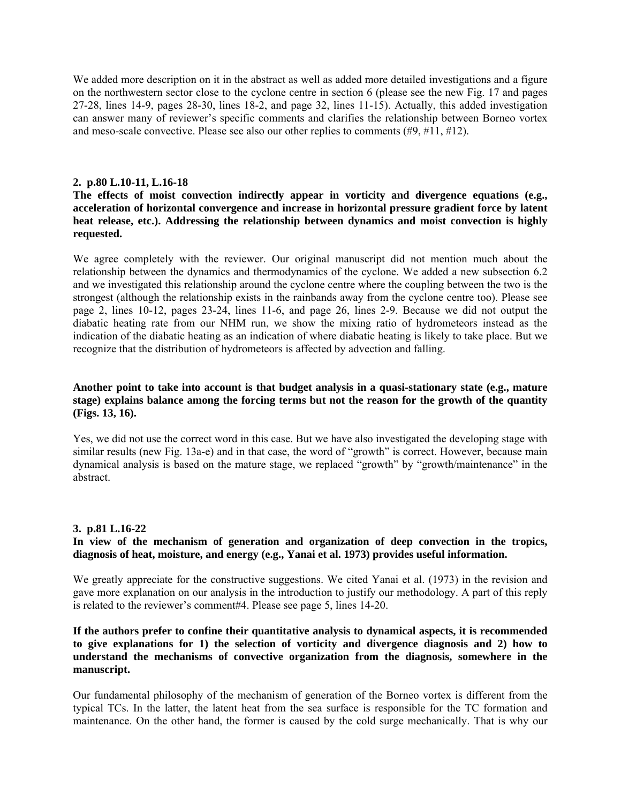We added more description on it in the abstract as well as added more detailed investigations and a figure on the northwestern sector close to the cyclone centre in section 6 (please see the new Fig. 17 and pages 27-28, lines 14-9, pages 28-30, lines 18-2, and page 32, lines 11-15). Actually, this added investigation can answer many of reviewer's specific comments and clarifies the relationship between Borneo vortex and meso-scale convective. Please see also our other replies to comments  $(\#9, \#11, \#12)$ .

#### **2. p.80 L.10-11, L.16-18**

**The effects of moist convection indirectly appear in vorticity and divergence equations (e.g., acceleration of horizontal convergence and increase in horizontal pressure gradient force by latent heat release, etc.). Addressing the relationship between dynamics and moist convection is highly requested.** 

We agree completely with the reviewer. Our original manuscript did not mention much about the relationship between the dynamics and thermodynamics of the cyclone. We added a new subsection 6.2 and we investigated this relationship around the cyclone centre where the coupling between the two is the strongest (although the relationship exists in the rainbands away from the cyclone centre too). Please see page 2, lines 10-12, pages 23-24, lines 11-6, and page 26, lines 2-9. Because we did not output the diabatic heating rate from our NHM run, we show the mixing ratio of hydrometeors instead as the indication of the diabatic heating as an indication of where diabatic heating is likely to take place. But we recognize that the distribution of hydrometeors is affected by advection and falling.

#### **Another point to take into account is that budget analysis in a quasi-stationary state (e.g., mature stage) explains balance among the forcing terms but not the reason for the growth of the quantity (Figs. 13, 16).**

Yes, we did not use the correct word in this case. But we have also investigated the developing stage with similar results (new Fig. 13a-e) and in that case, the word of "growth" is correct. However, because main dynamical analysis is based on the mature stage, we replaced "growth" by "growth/maintenance" in the abstract.

#### **3. p.81 L.16-22**

## **In view of the mechanism of generation and organization of deep convection in the tropics, diagnosis of heat, moisture, and energy (e.g., Yanai et al. 1973) provides useful information.**

We greatly appreciate for the constructive suggestions. We cited Yanai et al. (1973) in the revision and gave more explanation on our analysis in the introduction to justify our methodology. A part of this reply is related to the reviewer's comment#4. Please see page 5, lines 14-20.

## **If the authors prefer to confine their quantitative analysis to dynamical aspects, it is recommended to give explanations for 1) the selection of vorticity and divergence diagnosis and 2) how to understand the mechanisms of convective organization from the diagnosis, somewhere in the manuscript.**

Our fundamental philosophy of the mechanism of generation of the Borneo vortex is different from the typical TCs. In the latter, the latent heat from the sea surface is responsible for the TC formation and maintenance. On the other hand, the former is caused by the cold surge mechanically. That is why our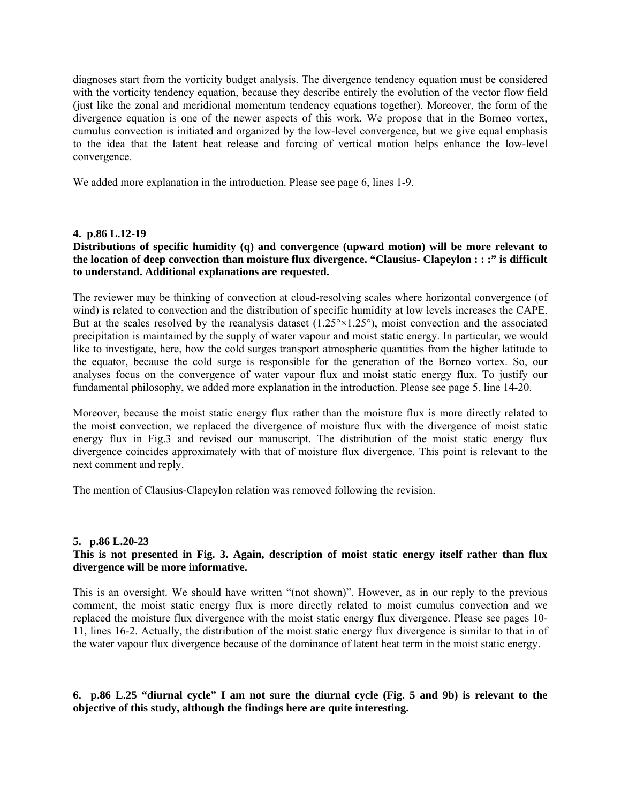diagnoses start from the vorticity budget analysis. The divergence tendency equation must be considered with the vorticity tendency equation, because they describe entirely the evolution of the vector flow field (just like the zonal and meridional momentum tendency equations together). Moreover, the form of the divergence equation is one of the newer aspects of this work. We propose that in the Borneo vortex, cumulus convection is initiated and organized by the low-level convergence, but we give equal emphasis to the idea that the latent heat release and forcing of vertical motion helps enhance the low-level convergence.

We added more explanation in the introduction. Please see page 6, lines 1-9.

#### **4. p.86 L.12-19**

## **Distributions of specific humidity (q) and convergence (upward motion) will be more relevant to the location of deep convection than moisture flux divergence. "Clausius- Clapeylon : : :" is difficult to understand. Additional explanations are requested.**

The reviewer may be thinking of convection at cloud-resolving scales where horizontal convergence (of wind) is related to convection and the distribution of specific humidity at low levels increases the CAPE. But at the scales resolved by the reanalysis dataset  $(1.25\degree \times 1.25\degree)$ , moist convection and the associated precipitation is maintained by the supply of water vapour and moist static energy. In particular, we would like to investigate, here, how the cold surges transport atmospheric quantities from the higher latitude to the equator, because the cold surge is responsible for the generation of the Borneo vortex. So, our analyses focus on the convergence of water vapour flux and moist static energy flux. To justify our fundamental philosophy, we added more explanation in the introduction. Please see page 5, line 14-20.

Moreover, because the moist static energy flux rather than the moisture flux is more directly related to the moist convection, we replaced the divergence of moisture flux with the divergence of moist static energy flux in Fig.3 and revised our manuscript. The distribution of the moist static energy flux divergence coincides approximately with that of moisture flux divergence. This point is relevant to the next comment and reply.

The mention of Clausius-Clapeylon relation was removed following the revision.

## **5. p.86 L.20-23**

## **This is not presented in Fig. 3. Again, description of moist static energy itself rather than flux divergence will be more informative.**

This is an oversight. We should have written "(not shown)". However, as in our reply to the previous comment, the moist static energy flux is more directly related to moist cumulus convection and we replaced the moisture flux divergence with the moist static energy flux divergence. Please see pages 10- 11, lines 16-2. Actually, the distribution of the moist static energy flux divergence is similar to that in of the water vapour flux divergence because of the dominance of latent heat term in the moist static energy.

# **6. p.86 L.25 "diurnal cycle" I am not sure the diurnal cycle (Fig. 5 and 9b) is relevant to the objective of this study, although the findings here are quite interesting.**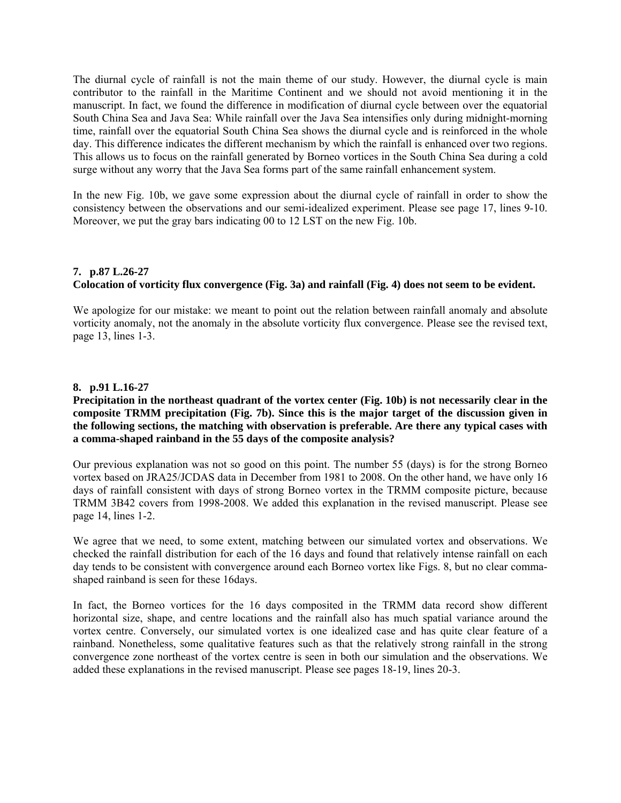The diurnal cycle of rainfall is not the main theme of our study. However, the diurnal cycle is main contributor to the rainfall in the Maritime Continent and we should not avoid mentioning it in the manuscript. In fact, we found the difference in modification of diurnal cycle between over the equatorial South China Sea and Java Sea: While rainfall over the Java Sea intensifies only during midnight-morning time, rainfall over the equatorial South China Sea shows the diurnal cycle and is reinforced in the whole day. This difference indicates the different mechanism by which the rainfall is enhanced over two regions. This allows us to focus on the rainfall generated by Borneo vortices in the South China Sea during a cold surge without any worry that the Java Sea forms part of the same rainfall enhancement system.

In the new Fig. 10b, we gave some expression about the diurnal cycle of rainfall in order to show the consistency between the observations and our semi-idealized experiment. Please see page 17, lines 9-10. Moreover, we put the gray bars indicating 00 to 12 LST on the new Fig. 10b.

# **7. p.87 L.26-27 Colocation of vorticity flux convergence (Fig. 3a) and rainfall (Fig. 4) does not seem to be evident.**

We apologize for our mistake: we meant to point out the relation between rainfall anomaly and absolute vorticity anomaly, not the anomaly in the absolute vorticity flux convergence. Please see the revised text, page 13, lines 1-3.

# **8. p.91 L.16-27**

## **Precipitation in the northeast quadrant of the vortex center (Fig. 10b) is not necessarily clear in the composite TRMM precipitation (Fig. 7b). Since this is the major target of the discussion given in the following sections, the matching with observation is preferable. Are there any typical cases with a comma-shaped rainband in the 55 days of the composite analysis?**

Our previous explanation was not so good on this point. The number 55 (days) is for the strong Borneo vortex based on JRA25/JCDAS data in December from 1981 to 2008. On the other hand, we have only 16 days of rainfall consistent with days of strong Borneo vortex in the TRMM composite picture, because TRMM 3B42 covers from 1998-2008. We added this explanation in the revised manuscript. Please see page 14, lines 1-2.

We agree that we need, to some extent, matching between our simulated vortex and observations. We checked the rainfall distribution for each of the 16 days and found that relatively intense rainfall on each day tends to be consistent with convergence around each Borneo vortex like Figs. 8, but no clear commashaped rainband is seen for these 16days.

In fact, the Borneo vortices for the 16 days composited in the TRMM data record show different horizontal size, shape, and centre locations and the rainfall also has much spatial variance around the vortex centre. Conversely, our simulated vortex is one idealized case and has quite clear feature of a rainband. Nonetheless, some qualitative features such as that the relatively strong rainfall in the strong convergence zone northeast of the vortex centre is seen in both our simulation and the observations. We added these explanations in the revised manuscript. Please see pages 18-19, lines 20-3.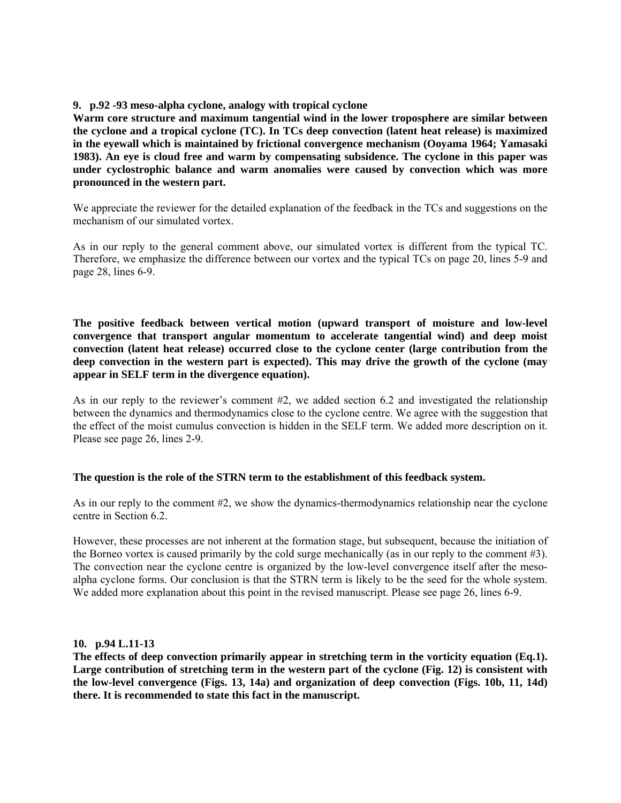#### **9. p.92 -93 meso-alpha cyclone, analogy with tropical cyclone**

**Warm core structure and maximum tangential wind in the lower troposphere are similar between the cyclone and a tropical cyclone (TC). In TCs deep convection (latent heat release) is maximized in the eyewall which is maintained by frictional convergence mechanism (Ooyama 1964; Yamasaki 1983). An eye is cloud free and warm by compensating subsidence. The cyclone in this paper was under cyclostrophic balance and warm anomalies were caused by convection which was more pronounced in the western part.** 

We appreciate the reviewer for the detailed explanation of the feedback in the TCs and suggestions on the mechanism of our simulated vortex.

As in our reply to the general comment above, our simulated vortex is different from the typical TC. Therefore, we emphasize the difference between our vortex and the typical TCs on page 20, lines 5-9 and page 28, lines 6-9.

**The positive feedback between vertical motion (upward transport of moisture and low-level convergence that transport angular momentum to accelerate tangential wind) and deep moist convection (latent heat release) occurred close to the cyclone center (large contribution from the deep convection in the western part is expected). This may drive the growth of the cyclone (may appear in SELF term in the divergence equation).** 

As in our reply to the reviewer's comment #2, we added section 6.2 and investigated the relationship between the dynamics and thermodynamics close to the cyclone centre. We agree with the suggestion that the effect of the moist cumulus convection is hidden in the SELF term. We added more description on it. Please see page 26, lines 2-9.

#### **The question is the role of the STRN term to the establishment of this feedback system.**

As in our reply to the comment #2, we show the dynamics-thermodynamics relationship near the cyclone centre in Section 6.2.

However, these processes are not inherent at the formation stage, but subsequent, because the initiation of the Borneo vortex is caused primarily by the cold surge mechanically (as in our reply to the comment #3). The convection near the cyclone centre is organized by the low-level convergence itself after the mesoalpha cyclone forms. Our conclusion is that the STRN term is likely to be the seed for the whole system. We added more explanation about this point in the revised manuscript. Please see page 26, lines 6-9.

#### **10. p.94 L.11-13**

**The effects of deep convection primarily appear in stretching term in the vorticity equation (Eq.1). Large contribution of stretching term in the western part of the cyclone (Fig. 12) is consistent with the low-level convergence (Figs. 13, 14a) and organization of deep convection (Figs. 10b, 11, 14d) there. It is recommended to state this fact in the manuscript.**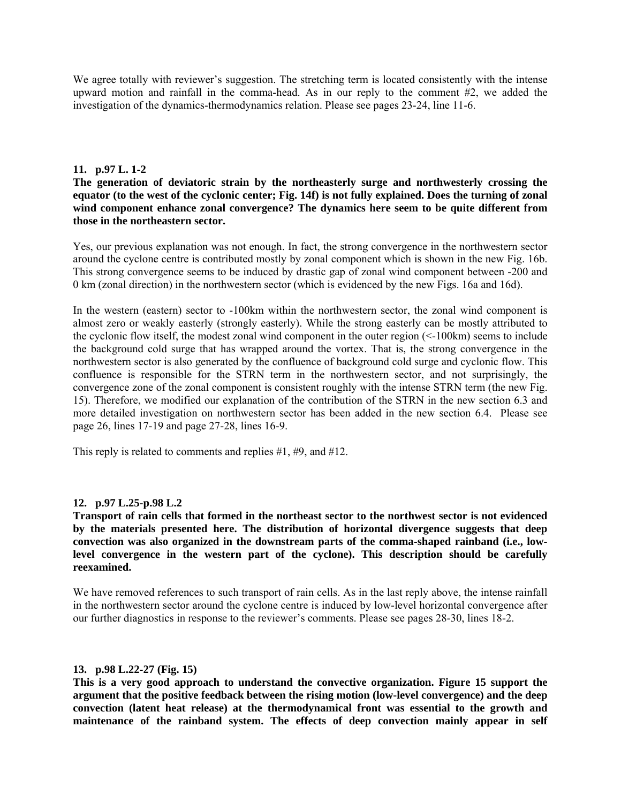We agree totally with reviewer's suggestion. The stretching term is located consistently with the intense upward motion and rainfall in the comma-head. As in our reply to the comment #2, we added the investigation of the dynamics-thermodynamics relation. Please see pages 23-24, line 11-6.

## **11. p.97 L. 1-2**

**The generation of deviatoric strain by the northeasterly surge and northwesterly crossing the equator (to the west of the cyclonic center; Fig. 14f) is not fully explained. Does the turning of zonal**  wind component enhance zonal convergence? The dynamics here seem to be quite different from **those in the northeastern sector.** 

Yes, our previous explanation was not enough. In fact, the strong convergence in the northwestern sector around the cyclone centre is contributed mostly by zonal component which is shown in the new Fig. 16b. This strong convergence seems to be induced by drastic gap of zonal wind component between -200 and 0 km (zonal direction) in the northwestern sector (which is evidenced by the new Figs. 16a and 16d).

In the western (eastern) sector to -100km within the northwestern sector, the zonal wind component is almost zero or weakly easterly (strongly easterly). While the strong easterly can be mostly attributed to the cyclonic flow itself, the modest zonal wind component in the outer region (<-100km) seems to include the background cold surge that has wrapped around the vortex. That is, the strong convergence in the northwestern sector is also generated by the confluence of background cold surge and cyclonic flow. This confluence is responsible for the STRN term in the northwestern sector, and not surprisingly, the convergence zone of the zonal component is consistent roughly with the intense STRN term (the new Fig. 15). Therefore, we modified our explanation of the contribution of the STRN in the new section 6.3 and more detailed investigation on northwestern sector has been added in the new section 6.4. Please see page 26, lines 17-19 and page 27-28, lines 16-9.

This reply is related to comments and replies #1, #9, and #12.

## **12. p.97 L.25-p.98 L.2**

**Transport of rain cells that formed in the northeast sector to the northwest sector is not evidenced by the materials presented here. The distribution of horizontal divergence suggests that deep convection was also organized in the downstream parts of the comma-shaped rainband (i.e., lowlevel convergence in the western part of the cyclone). This description should be carefully reexamined.** 

We have removed references to such transport of rain cells. As in the last reply above, the intense rainfall in the northwestern sector around the cyclone centre is induced by low-level horizontal convergence after our further diagnostics in response to the reviewer's comments. Please see pages 28-30, lines 18-2.

#### **13. p.98 L.22-27 (Fig. 15)**

**This is a very good approach to understand the convective organization. Figure 15 support the argument that the positive feedback between the rising motion (low-level convergence) and the deep convection (latent heat release) at the thermodynamical front was essential to the growth and maintenance of the rainband system. The effects of deep convection mainly appear in self**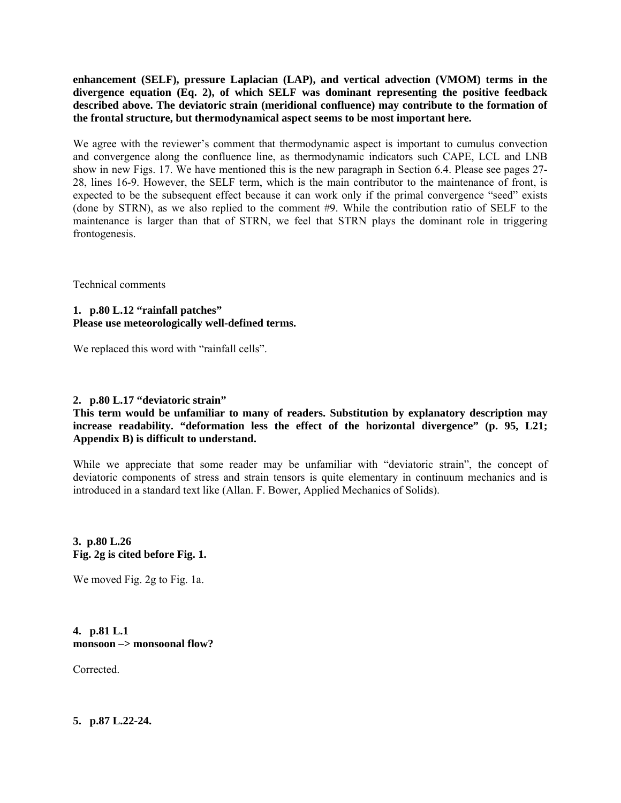**enhancement (SELF), pressure Laplacian (LAP), and vertical advection (VMOM) terms in the divergence equation (Eq. 2), of which SELF was dominant representing the positive feedback described above. The deviatoric strain (meridional confluence) may contribute to the formation of the frontal structure, but thermodynamical aspect seems to be most important here.** 

We agree with the reviewer's comment that thermodynamic aspect is important to cumulus convection and convergence along the confluence line, as thermodynamic indicators such CAPE, LCL and LNB show in new Figs. 17. We have mentioned this is the new paragraph in Section 6.4. Please see pages 27- 28, lines 16-9. However, the SELF term, which is the main contributor to the maintenance of front, is expected to be the subsequent effect because it can work only if the primal convergence "seed" exists (done by STRN), as we also replied to the comment #9. While the contribution ratio of SELF to the maintenance is larger than that of STRN, we feel that STRN plays the dominant role in triggering frontogenesis.

Technical comments

# **1. p.80 L.12 "rainfall patches" Please use meteorologically well-defined terms.**

We replaced this word with "rainfall cells".

## **2. p.80 L.17 "deviatoric strain"**

## **This term would be unfamiliar to many of readers. Substitution by explanatory description may increase readability. "deformation less the effect of the horizontal divergence" (p. 95, L21; Appendix B) is difficult to understand.**

While we appreciate that some reader may be unfamiliar with "deviatoric strain", the concept of deviatoric components of stress and strain tensors is quite elementary in continuum mechanics and is introduced in a standard text like (Allan. F. Bower, Applied Mechanics of Solids).

#### **3. p.80 L.26 Fig. 2g is cited before Fig. 1.**

We moved Fig. 2g to Fig. 1a.

## **4. p.81 L.1 monsoon –> monsoonal flow?**

Corrected.

**5. p.87 L.22-24.**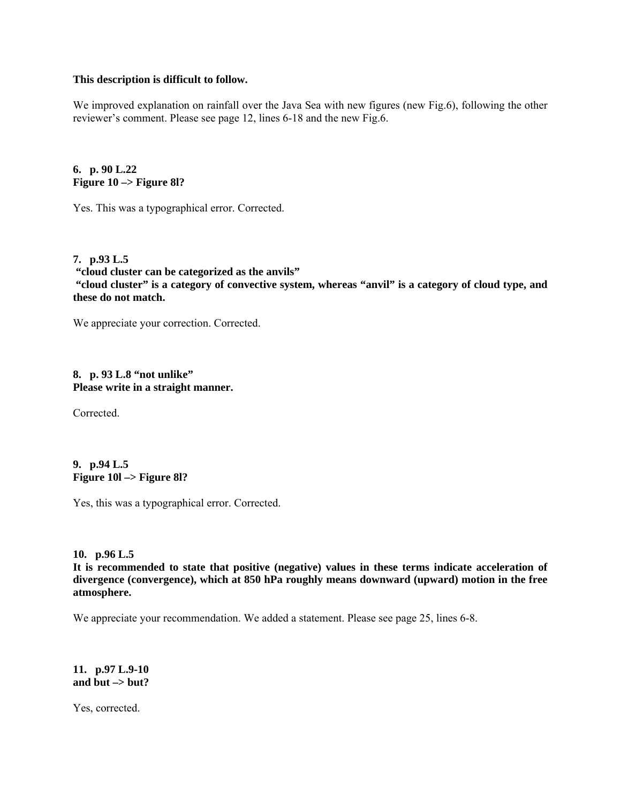#### **This description is difficult to follow.**

We improved explanation on rainfall over the Java Sea with new figures (new Fig.6), following the other reviewer's comment. Please see page 12, lines 6-18 and the new Fig.6.

**6. p. 90 L.22 Figure 10 –> Figure 8l?** 

Yes. This was a typographical error. Corrected.

**7. p.93 L.5 "cloud cluster can be categorized as the anvils" "cloud cluster" is a category of convective system, whereas "anvil" is a category of cloud type, and these do not match.** 

We appreciate your correction. Corrected.

#### **8. p. 93 L.8 "not unlike" Please write in a straight manner.**

Corrected.

#### **9. p.94 L.5 Figure 10l –> Figure 8l?**

Yes, this was a typographical error. Corrected.

## **10. p.96 L.5**

**It is recommended to state that positive (negative) values in these terms indicate acceleration of divergence (convergence), which at 850 hPa roughly means downward (upward) motion in the free atmosphere.** 

We appreciate your recommendation. We added a statement. Please see page 25, lines 6-8.

**11. p.97 L.9-10 and but –> but?** 

Yes, corrected.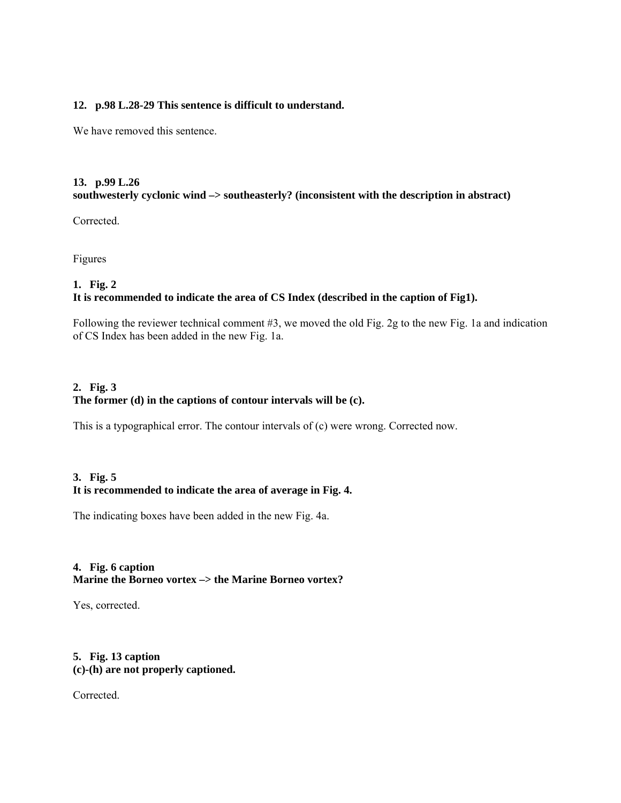#### **12. p.98 L.28-29 This sentence is difficult to understand.**

We have removed this sentence.

# **13. p.99 L.26 southwesterly cyclonic wind –> southeasterly? (inconsistent with the description in abstract)**

Corrected.

Figures

## **1. Fig. 2**

# **It is recommended to indicate the area of CS Index (described in the caption of Fig1).**

Following the reviewer technical comment #3, we moved the old Fig. 2g to the new Fig. 1a and indication of CS Index has been added in the new Fig. 1a.

# **2. Fig. 3 The former (d) in the captions of contour intervals will be (c).**

This is a typographical error. The contour intervals of (c) were wrong. Corrected now.

# **3. Fig. 5 It is recommended to indicate the area of average in Fig. 4.**

The indicating boxes have been added in the new Fig. 4a.

# **4. Fig. 6 caption Marine the Borneo vortex –> the Marine Borneo vortex?**

Yes, corrected.

#### **5. Fig. 13 caption (c)-(h) are not properly captioned.**

Corrected.